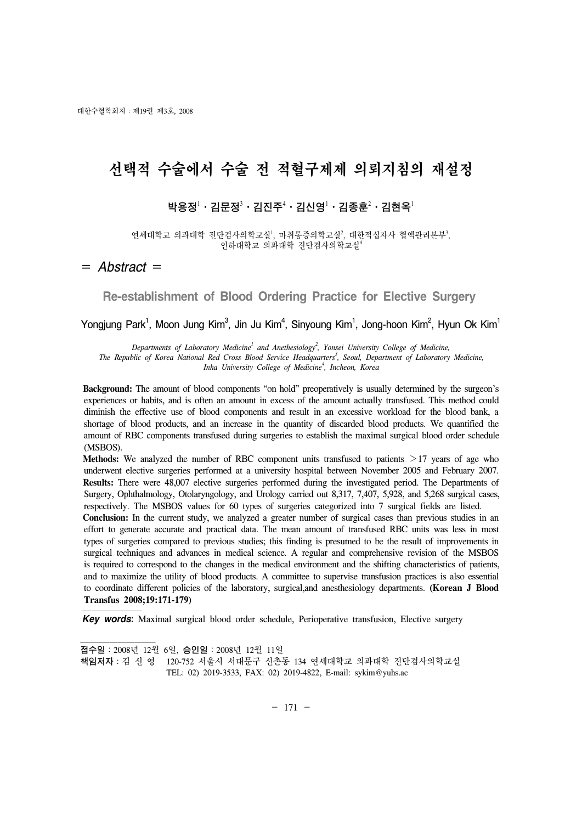대한수혈학회지:제19권 제3호, 2008

# 선택적 수술에서 수술 전 적혈구제제 의뢰지침의 재설정

# 박용정 $^{\rm l}$ ㆍ김문정 $^{\rm 3}$ ㆍ김진주 $^{\rm 4}$ ㆍ김신영 $^{\rm l}$ ㆍ김종훈 $^{\rm 2}$ ㆍ김현옥 $^{\rm l}$

연세대학교 의과대학 진단검사의학교실', 마취통증의학교실', 대한적십자사 혈액관리본부', 인하대학교 의과대학 진단검사의학교실

# = *Abstract* =

**Re-establishment of Blood Ordering Practice for Elective Surgery**

Yongjung Park<sup>1</sup>, Moon Jung Kim<sup>3</sup>, Jin Ju Kim<sup>4</sup>, Sinyoung Kim<sup>1</sup>, Jong-hoon Kim<sup>2</sup>, Hyun Ok Kim<sup>1</sup>

Departments of Laboratory Medicine<sup>1</sup> and Anethesiology<sup>2</sup>, Yonsei University College of Medicine, The Republic of Korea National Red Cross Blood Service Headquarters<sup>3</sup>, Seoul, Department of Laboratory Medicine, *Inha University College of Medicine4 , Incheon, Korea*

**Background:** The amount of blood components "on hold" preoperatively is usually determined by the surgeon's experiences or habits, and is often an amount in excess of the amount actually transfused. This method could diminish the effective use of blood components and result in an excessive workload for the blood bank, a shortage of blood products, and an increase in the quantity of discarded blood products. We quantified the amount of RBC components transfused during surgeries to establish the maximal surgical blood order schedule (MSBOS).

**Methods:** We analyzed the number of RBC component units transfused to patients >17 years of age who underwent elective surgeries performed at a university hospital between November 2005 and February 2007. **Results:** There were 48,007 elective surgeries performed during the investigated period. The Departments of Surgery, Ophthalmology, Otolaryngology, and Urology carried out 8,317, 7,407, 5,928, and 5,268 surgical cases, respectively. The MSBOS values for 60 types of surgeries categorized into 7 surgical fields are listed.

**Conclusion:** In the current study, we analyzed a greater number of surgical cases than previous studies in an effort to generate accurate and practical data. The mean amount of transfused RBC units was less in most types of surgeries compared to previous studies; this finding is presumed to be the result of improvements in surgical techniques and advances in medical science. A regular and comprehensive revision of the MSBOS is required to correspond to the changes in the medical environment and the shifting characteristics of patients, and to maximize the utility of blood products. A committee to supervise transfusion practices is also essential to coordinate different policies of the laboratory, surgical,and anesthesiology departments. **(Korean J Blood Transfus 2008;19:171-179)**

 $\frac{1}{2}$ *Key words***:** Maximal surgical blood order schedule, Perioperative transfusion, Elective surgery

 접수일:2008년 12월 6일, 승인일:2008년 12월 11<sup>일</sup> 책임저자:김 신 영 120-752 서울시 서대문구 신촌동 134 연세대학교 의과대학 진단검사의학교실 TEL: 02) 2019-3533, FAX: 02) 2019-4822, E-mail: sykim@yuhs.ac

 $- 171 -$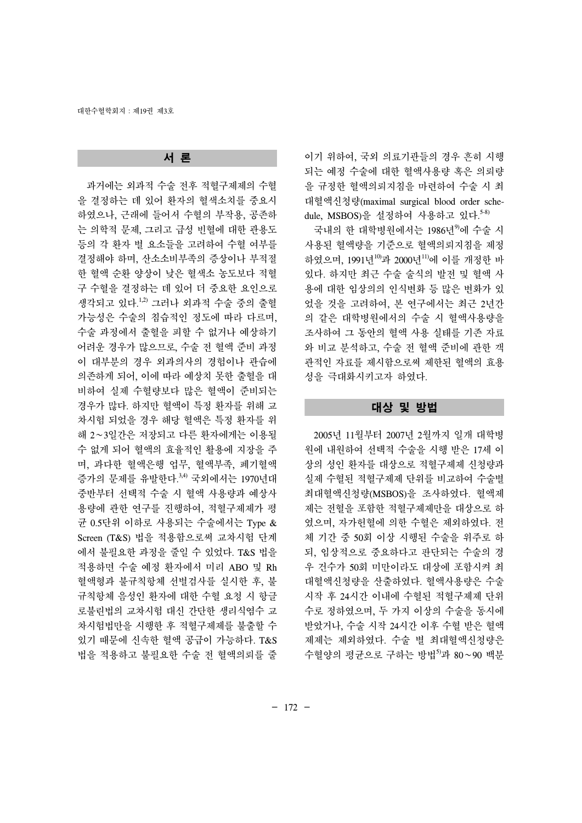# 서 론

 과거에는 외과적 수술 전후 적혈구제제의 수혈 을 결정하는 데 있어 환자의 혈색소치를 중요시 하였으나, 근래에 들어서 수혈의 부작용, 공존하 는 의학적 문제, 그리고 급성 빈혈에 대한 관용도 등의 각 환자 별 요소들을 고려하여 수혈 여부를 결정해야 하며, 산소소비부족의 증상이나 부적절 한 혈액 순환 양상이 낮은 혈색소 농도보다 적혈 구 수혈을 결정하는 데 있어 더 중요한 요인으로 생각되고 있다. 1,2) 그러나 외과적 수술 중의 출혈 가능성은 수술의 침습적인 정도에 따라 다르며, 수술 과정에서 출혈을 피할 수 없거나 예상하기 어려운 경우가 많으므로, 수술 전 혈액 준비 과정 이 대부분의 경우 외과의사의 경험이나 관습에 의존하게 되어, 이에 따라 예상치 못한 출혈을 대 비하여 실제 수혈량보다 많은 혈액이 준비되는 경우가 많다. 하지만 혈액이 특정 환자를 위해 교 차시험 되었을 경우 해당 혈액은 특정 환자를 위 해 2∼3일간은 저장되고 다른 환자에게는 이용될 수 없게 되어 혈액의 효율적인 활용에 지장을 주 며, 과다한 혈액은행 업무, 혈액부족, 폐기혈액 증가의 문제를 유발한다. 3,4) 국외에서는 1970년대 중반부터 선택적 수술 시 혈액 사용량과 예상사 용량에 관한 연구를 진행하여, 적혈구제제가 평 균 0.5단위 이하로 사용되는 수술에서는 Type & Screen (T&S) 법을 적용함으로써 교차시험 단계 에서 불필요한 과정을 줄일 수 있었다. T&S 법을 적용하면 수술 예정 환자에서 미리 ABO 및 Rh 혈액형과 불규칙항체 선별검사를 실시한 후, 불 규칙항체 음성인 환자에 대한 수혈 요청 시 항글 로불린법의 교차시험 대신 간단한 생리식염수 교 차시험법만을 시행한 후 적혈구제제를 불출할 수 있기 때문에 신속한 혈액 공급이 가능하다. T&S 법을 적용하고 불필요한 수술 전 혈액의뢰를 줄

이기 위하여, 국외 의료기관들의 경우 흔히 시행 되는 예정 수술에 대한 혈액사용량 혹은 의뢰량 을 규정한 혈액의뢰지침을 마련하여 수술 시 최 대혈액신청량(maximal surgical blood order schedule, MSBOS)을 설정하여 사용하고 있다. 5-8)

국내의 한 대학병원에서는 1986년<sup>9)</sup>에 수술 시 사용된 혈액량을 기준으로 혈액의뢰지침을 제정 하였으며, 1991년<sup>10</sup>과 2000년<sup>11)</sup>에 이를 개정한 바 있다. 하지만 최근 수술 술식의 발전 및 혈액 사 용에 대한 임상의의 인식변화 등 많은 변화가 있 었을 것을 고려하여, 본 연구에서는 최근 2년간 의 같은 대학병원에서의 수술 시 혈액사용량을 조사하여 그 동안의 혈액 사용 실태를 기존 자료 와 비교 분석하고, 수술 전 혈액 준비에 관한 객 관적인 자료를 제시함으로써 제한된 혈액의 효용 성을 극대화시키고자 하였다.

#### 대상 및 방법

 2005년 11월부터 2007년 2월까지 일개 대학병 원에 내원하여 선택적 수술을 시행 받은 17세 이 상의 성인 환자를 대상으로 적혈구제제 신청량과 실제 수혈된 적혈구제제 단위를 비교하여 수술별 최대혈액신청량(MSBOS)을 조사하였다. 혈액제 제는 전혈을 포함한 적혈구제제만을 대상으로 하 였으며, 자가헌혈에 의한 수혈은 제외하였다. 전 체 기간 중 50회 이상 시행된 수술을 위주로 하 되, 임상적으로 중요하다고 판단되는 수술의 경 우 건수가 50회 미만이라도 대상에 포함시켜 최 대혈액신청량을 산출하였다. 혈액사용량은 수술 시작 후 24시간 이내에 수혈된 적혈구제제 단위 수로 정하였으며, 두 가지 이상의 수술을 동시에 받았거나, 수술 시작 24시간 이후 수혈 받은 혈액 제제는 제외하였다. 수술 별 최대혈액신청량은 수혈양의 평균으로 구하는 방법5)과 80∼90 백분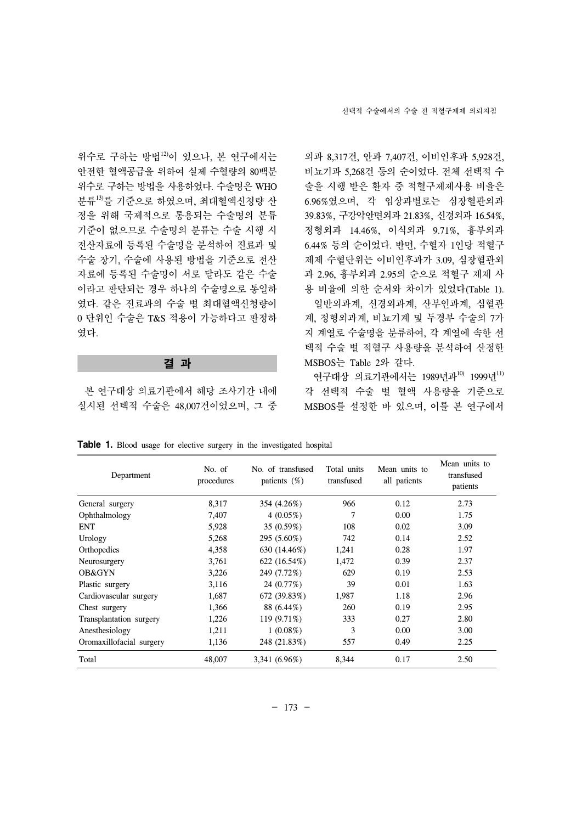위수로 구하는 방법12)이 있으나, 본 연구에서는 안전한 혈액공급을 위하여 실제 수혈량의 80백분 위수로 구하는 방법을 사용하였다. 수술명은 WHO 분류13)를 기준으로 하였으며, 최대혈액신청량 산 정을 위해 국제적으로 통용되는 수술명의 분류 기준이 없으므로 수술명의 분류는 수술 시행 시 전산자료에 등록된 수술명을 분석하여 진료과 및 수술 장기, 수술에 사용된 방법을 기준으로 전산 자료에 등록된 수술명이 서로 달라도 같은 수술 이라고 판단되는 경우 하나의 수술명으로 통일하 였다. 같은 진료과의 수술 별 최대혈액신청량이 0 단위인 수술은 T&S 적용이 가능하다고 판정하 였다.

## 결 과

 본 연구대상 의료기관에서 해당 조사기간 내에 실시된 선택적 수술은 48,007건이었으며, 그 중 외과 8,317건, 안과 7,407건, 이비인후과 5,928건, 비뇨기과 5,268건 등의 순이었다. 전체 선택적 수 술을 시행 받은 환자 중 적혈구제제사용 비율은 6.96%였으며, 각 임상과별로는 심장혈관외과 39.83%, 구강악안면외과 21.83%, 신경외과 16.54%, 정형외과 14.46%, 이식외과 9.71%, 흉부외과 6.44% 등의 순이었다. 반면, 수혈자 1인당 적혈구 제제 수혈단위는 이비인후과가 3.09, 심장혈관외 과 2.96, 흉부외과 2.95의 순으로 적혈구 제제 사 용 비율에 의한 순서와 차이가 있었다(Table 1). 일반외과계, 신경외과계, 산부인과계, 심혈관 계, 정형외과계, 비뇨기계 및 두경부 수술의 7가 지 계열로 수술명을 분류하여, 각 계열에 속한 선 택적 수술 별 적혈구 사용량을 분석하여 산정한 MSBOS는 Table 2와 같다.

연구대상 의료기관에서는 1989년과<sup>10)</sup> 1999년<sup>11)</sup> 각 선택적 수술 별 혈액 사용량을 기준으로 MSBOS를 설정한 바 있으며, 이를 본 연구에서

**Table 1.** Blood usage for elective surgery in the investigated hospital

| Department               | No. of<br>procedures | No. of transfused<br>patients $(\%)$ | Total units<br>transfused | Mean units to<br>all patients | Mean units to<br>transfused<br>patients |
|--------------------------|----------------------|--------------------------------------|---------------------------|-------------------------------|-----------------------------------------|
| General surgery          | 8,317                | 354 (4.26%)                          | 966                       | 0.12                          | 2.73                                    |
| Ophthalmology            | 7,407                | 4 $(0.05\%)$                         | 7                         | 0.00                          | 1.75                                    |
| <b>ENT</b>               | 5,928                | 35 (0.59%)                           | 108                       | 0.02                          | 3.09                                    |
| Urology                  | 5,268                | 295 (5.60%)                          | 742                       | 0.14                          | 2.52                                    |
| Orthopedics              | 4,358                | 630 (14.46%)                         | 1,241                     | 0.28                          | 1.97                                    |
| Neurosurgery             | 3,761                | 622 (16.54%)                         | 1,472                     | 0.39                          | 2.37                                    |
| OB&GYN                   | 3,226                | 249 (7.72%)                          | 629                       | 0.19                          | 2.53                                    |
| Plastic surgery          | 3,116                | 24 (0.77%)                           | 39                        | 0.01                          | 1.63                                    |
| Cardiovascular surgery   | 1,687                | 672 (39.83%)                         | 1,987                     | 1.18                          | 2.96                                    |
| Chest surgery            | 1,366                | 88 (6.44%)                           | 260                       | 0.19                          | 2.95                                    |
| Transplantation surgery  | 1,226                | 119 (9.71%)                          | 333                       | 0.27                          | 2.80                                    |
| Anesthesiology           | 1,211                | $1(0.08\%)$                          | 3                         | 0.00                          | 3.00                                    |
| Oromaxillofacial surgery | 1,136                | 248 (21.83%)                         | 557                       | 0.49                          | 2.25                                    |
| Total                    | 48,007               | 3,341 (6.96%)                        | 8,344                     | 0.17                          | 2.50                                    |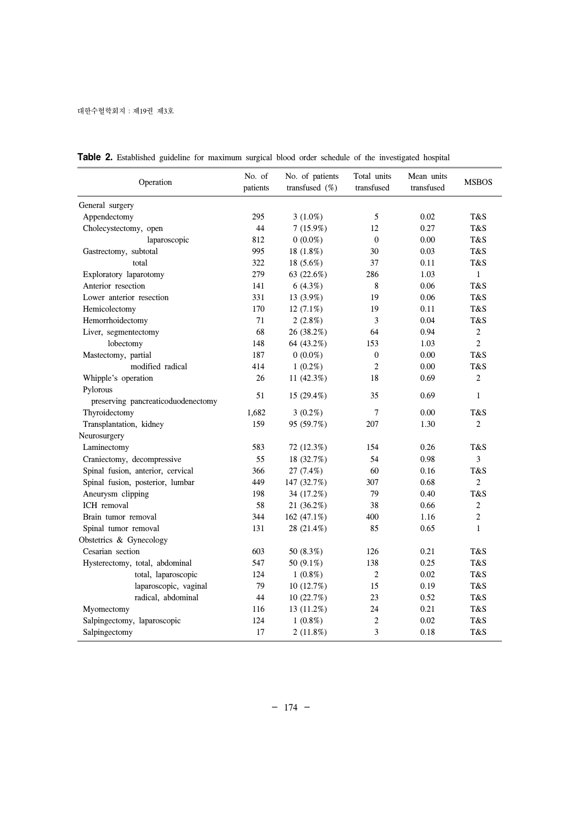| Operation                          | No. of<br>patients | No. of patients<br>transfused $(\%)$ | Total units<br>transfused | Mean units<br>transfused | <b>MSBOS</b>   |
|------------------------------------|--------------------|--------------------------------------|---------------------------|--------------------------|----------------|
| General surgery                    |                    |                                      |                           |                          |                |
| Appendectomy                       | 295                | $3(1.0\%)$                           | 5                         | 0.02                     | T&S            |
| Cholecystectomy, open              | 44                 | 7(15.9%)                             | 12                        | 0.27                     | T&S            |
| laparoscopic                       | 812                | $0(0.0\%)$                           | $\mathbf{0}$              | 0.00                     | T&S            |
| Gastrectomy, subtotal              | 995                | 18 (1.8%)                            | 30                        | 0.03                     | T&S            |
| total                              | 322                | 18 (5.6%)                            | 37                        | 0.11                     | T&S            |
| Exploratory laparotomy             | 279                | 63 (22.6%)                           | 286                       | 1.03                     | $\mathbf{1}$   |
| Anterior resection                 | 141                | 6(4.3%)                              | 8                         | 0.06                     | T&S            |
| Lower anterior resection           | 331                | 13 (3.9%)                            | 19                        | 0.06                     | T&S            |
| Hemicolectomy                      | 170                | $12(7.1\%)$                          | 19                        | 0.11                     | T&S            |
| Hemorrhoidectomy                   | 71                 | $2(2.8\%)$                           | 3                         | 0.04                     | T&S            |
| Liver, segmentectomy               | 68                 | 26 (38.2%)                           | 64                        | 0.94                     | $\overline{c}$ |
| lobectomy                          | 148                | 64 (43.2%)                           | 153                       | 1.03                     | $\overline{2}$ |
| Mastectomy, partial                | 187                | $0(0.0\%)$                           | $\mathbf{0}$              | 0.00                     | T&S            |
| modified radical                   | 414                | $1(0.2\%)$                           | $\overline{c}$            | 0.00                     | T&S            |
| Whipple's operation                | 26                 | 11 (42.3%)                           | 18                        | 0.69                     | $\overline{c}$ |
| Pylorous                           |                    |                                      |                           |                          |                |
| preserving pancreaticoduodenectomy | 51                 | 15 (29.4%)                           | 35                        | 0.69                     | $\mathbf{1}$   |
| Thyroidectomy                      | 1,682              | $3(0.2\%)$                           | $\overline{7}$            | 0.00                     | T&S            |
| Transplantation, kidney            | 159                | 95 (59.7%)                           | 207                       | 1.30                     | 2              |
| Neurosurgery                       |                    |                                      |                           |                          |                |
| Laminectomy                        | 583                | 72 (12.3%)                           | 154                       | 0.26                     | T&S            |
| Craniectomy, decompressive         | 55                 | 18 (32.7%)                           | 54                        | 0.98                     | 3              |
| Spinal fusion, anterior, cervical  | 366                | 27 (7.4%)                            | 60                        | 0.16                     | T&S            |
| Spinal fusion, posterior, lumbar   | 449                | 147 (32.7%)                          | 307                       | 0.68                     | $\overline{2}$ |
| Aneurysm clipping                  | 198                | 34 (17.2%)                           | 79                        | 0.40                     | T&S            |
| ICH removal                        | 58                 | 21 (36.2%)                           | 38                        | 0.66                     | $\overline{c}$ |
| Brain tumor removal                | 344                | 162 (47.1%)                          | 400                       | 1.16                     | 2              |
| Spinal tumor removal               | 131                | 28 (21.4%)                           | 85                        | 0.65                     | $\mathbf{1}$   |
| Obstetrics & Gynecology            |                    |                                      |                           |                          |                |
| Cesarian section                   | 603                | 50 (8.3%)                            | 126                       | 0.21                     | T&S            |
| Hysterectomy, total, abdominal     | 547                | 50 (9.1%)                            | 138                       | 0.25                     | T&S            |
| total, laparoscopic                | 124                | $1(0.8\%)$                           | $\mathbf{2}$              | 0.02                     | T&S            |
| laparoscopic, vaginal              | 79                 | 10 (12.7%)                           | 15                        | 0.19                     | T&S            |
| radical, abdominal                 | 44                 | 10 (22.7%)                           | 23                        | 0.52                     | T&S            |
| Myomectomy                         | 116                | 13 (11.2%)                           | 24                        | 0.21                     | T&S            |
| Salpingectomy, laparoscopic        | 124                | $1(0.8\%)$                           | $\overline{2}$            | 0.02                     | T&S            |
| Salpingectomy                      | 17                 | 2(11.8%)                             | $\mathfrak{Z}$            | 0.18                     | T&S            |

**Table 2.** Established guideline for maximum surgical blood order schedule of the investigated hospital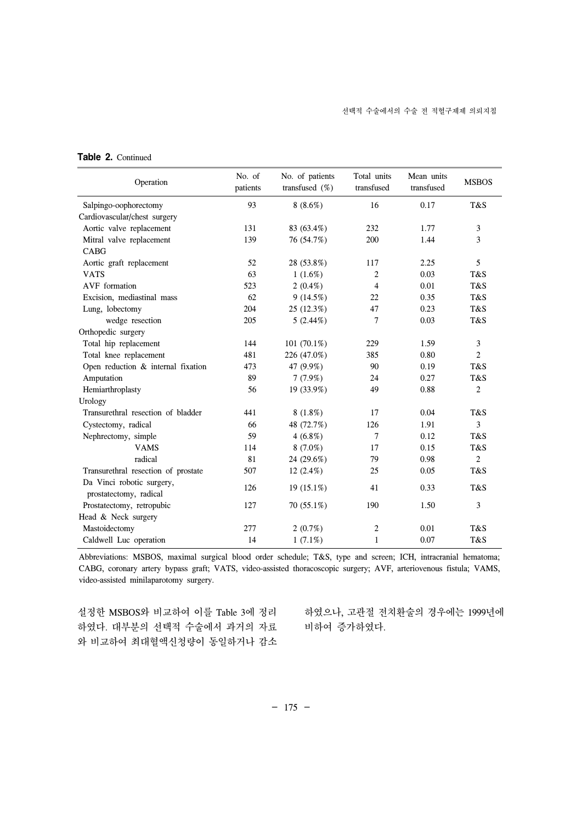| <b>Table 2. Continued</b> |
|---------------------------|
|                           |

| Operation                                           | No. of<br>patients | No. of patients<br>transfused $(\%)$ | Total units<br>transfused | Mean units<br>transfused | <b>MSBOS</b>   |
|-----------------------------------------------------|--------------------|--------------------------------------|---------------------------|--------------------------|----------------|
| Salpingo-oophorectomy                               | 93                 | $8(8.6\%)$                           | 16                        | 0.17                     | T&S            |
| Cardiovascular/chest surgery                        |                    |                                      |                           |                          |                |
| Aortic valve replacement                            | 131                | 83 (63.4%)                           | 232                       | 1.77                     | 3              |
| Mitral valve replacement                            | 139                | 76 (54.7%)                           | 200                       | 1.44                     | 3              |
| <b>CABG</b>                                         |                    |                                      |                           |                          |                |
| Aortic graft replacement                            | 52                 | 28 (53.8%)                           | 117                       | 2.25                     | 5              |
| <b>VATS</b>                                         | 63                 | $1(1.6\%)$                           | 2                         | 0.03                     | T&S            |
| AVF formation                                       | 523                | $2(0.4\%)$                           | 4                         | 0.01                     | T&S            |
| Excision, mediastinal mass                          | 62                 | 9(14.5%)                             | 22                        | 0.35                     | T&S            |
| Lung, lobectomy                                     | 204                | 25 (12.3%)                           | 47                        | 0.23                     | T&S            |
| wedge resection                                     | 205                | $5(2.44\%)$                          | 7                         | 0.03                     | T&S            |
| Orthopedic surgery                                  |                    |                                      |                           |                          |                |
| Total hip replacement                               | 144                | 101 $(70.1\%)$                       | 229                       | 1.59                     | 3              |
| Total knee replacement                              | 481                | 226 (47.0%)                          | 385                       | 0.80                     | $\overline{c}$ |
| Open reduction & internal fixation                  | 473                | 47 (9.9%)                            | 90                        | 0.19                     | T&S            |
| Amputation                                          | 89                 | 7(7.9%)                              | 24                        | 0.27                     | T&S            |
| Hemiarthroplasty                                    | 56                 | 19 (33.9%)                           | 49                        | 0.88                     | $\overline{c}$ |
| Urology                                             |                    |                                      |                           |                          |                |
| Transurethral resection of bladder                  | 441                | $8(1.8\%)$                           | 17                        | 0.04                     | T&S            |
| Cystectomy, radical                                 | 66                 | 48 (72.7%)                           | 126                       | 1.91                     | 3              |
| Nephrectomy, simple                                 | 59                 | $4(6.8\%)$                           | 7                         | 0.12                     | T&S            |
| <b>VAMS</b>                                         | 114                | $8(7.0\%)$                           | 17                        | 0.15                     | T&S            |
| radical                                             | 81                 | 24 (29.6%)                           | 79                        | 0.98                     | $\overline{2}$ |
| Transurethral resection of prostate                 | 507                | $12(2.4\%)$                          | 25                        | 0.05                     | T&S            |
| Da Vinci robotic surgery,<br>prostatectomy, radical | 126                | $19(15.1\%)$                         | 41                        | 0.33                     | T&S            |
| Prostatectomy, retropubic                           | 127                | $70(55.1\%)$                         | 190                       | 1.50                     | 3              |
| Head & Neck surgery                                 |                    |                                      |                           |                          |                |
| Mastoidectomy                                       | 277                | $2(0.7\%)$                           | $\overline{2}$            | 0.01                     | T&S            |
| Caldwell Luc operation                              | 14                 | $1(7.1\%)$                           | 1                         | 0.07                     | T&S            |

Abbreviations: MSBOS, maximal surgical blood order schedule; T&S, type and screen; ICH, intracranial hematoma; CABG, coronary artery bypass graft; VATS, video-assisted thoracoscopic surgery; AVF, arteriovenous fistula; VAMS, video-assisted minilaparotomy surgery.

설정한 MSBOS와 비교하여 이를 Table 3에 정리 하였으나, 고관절 전치환술의 경우에는 1999년에 하였다. 대부분의 선택적 수술에서 과거의 자료 와 비교하여 최대혈액신청량이 동일하거나 감소

비하여 증가하였다.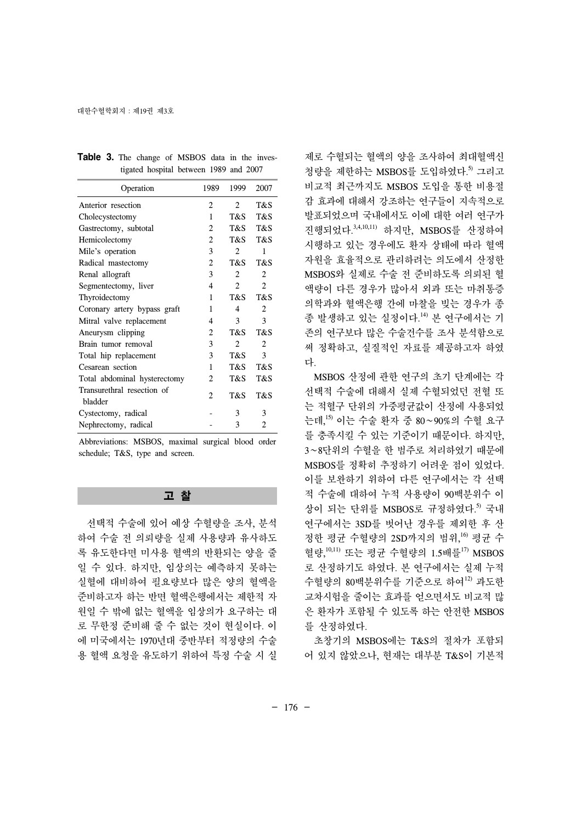| Operation                             | 1989           | 1999                        | 2007                     |
|---------------------------------------|----------------|-----------------------------|--------------------------|
| Anterior resection                    | 2              | $\mathfrak{D}$              | T&S                      |
| Cholecystectomy                       | 1              | T&S                         | T&S                      |
| Gastrectomy, subtotal                 | 2              | T&S                         | T&S                      |
| Hemicolectomy                         | 2              | T&S                         | T&S                      |
| Mile's operation                      | 3              | $\mathfrak{D}$              | 1                        |
| Radical mastectomy                    | 2              | T&S                         | T&S                      |
| Renal allograft                       | 3              | $\overline{2}$              | 2                        |
| Segmentectomy, liver                  | 4              | $\mathcal{D}_{\mathcal{L}}$ | $\mathfrak{D}$           |
| Thyroidectomy                         | 1              | T&S                         | T&S                      |
| Coronary artery bypass graft          | 1              | 4                           | $\overline{c}$           |
| Mitral valve replacement              | 4              | 3                           | 3                        |
| Aneurysm clipping                     | 2              | T&S                         | T&S                      |
| Brain tumor removal                   | 3              | $\mathfrak{D}$              | $\overline{\mathcal{L}}$ |
| Total hip replacement                 | 3              | T&S                         | 3                        |
| Cesarean section                      | 1              | T&S                         | T&S                      |
| Total abdominal hysterectomy          | 2              | T&S                         | T&S                      |
| Transurethral resection of<br>bladder | $\mathfrak{D}$ | T&S                         | T&S                      |
| Cystectomy, radical                   |                | 3                           | 3                        |
| Nephrectomy, radical                  |                | 3                           | $\mathfrak{D}$           |

|  |  | Table 3. The change of MSBOS data in the inves- |  |  |
|--|--|-------------------------------------------------|--|--|
|  |  | tigated hospital between 1989 and 2007          |  |  |

Abbreviations: MSBOS, maximal surgical blood order schedule; T&S, type and screen.

## 고 찰

 선택적 수술에 있어 예상 수혈량을 조사, 분석 하여 수술 전 의뢰량을 실제 사용량과 유사하도 록 유도한다면 미사용 혈액의 반환되는 양을 줄 일 수 있다. 하지만, 임상의는 예측하지 못하는 실혈에 대비하여 필요량보다 많은 양의 혈액을 준비하고자 하는 반면 혈액은행에서는 제한적 자 원일 수 밖에 없는 혈액을 임상의가 요구하는 대 로 무한정 준비해 줄 수 없는 것이 현실이다. 이 에 미국에서는 1970년대 중반부터 적정량의 수술 용 혈액 요청을 유도하기 위하여 특정 수술 시 실 제로 수혈되는 혈액의 양을 조사하여 최대혈액신 청량을 제한하는 MSBOS를 도입하였다.<sup>5)</sup> 그리고 비교적 최근까지도 MSBOS 도입을 통한 비용절 감 효과에 대해서 강조하는 연구들이 지속적으로 발표되었으며 국내에서도 이에 대한 여러 연구가 진행되었다. 3,4,10,11) 하지만, MSBOS를 산정하여 시행하고 있는 경우에도 환자 상태에 따라 혈액 자원을 효율적으로 관리하려는 의도에서 산정한 MSBOS와 실제로 수술 전 준비하도록 의뢰된 혈 액량이 다른 경우가 많아서 외과 또는 마취통증 의학과와 혈액은행 간에 마찰을 빚는 경우가 종 종 발생하고 있는 실정이다. 14) 본 연구에서는 기 존의 연구보다 많은 수술건수를 조사 분석함으로 써 정확하고, 실질적인 자료를 제공하고자 하였 다.

 MSBOS 산정에 관한 연구의 초기 단계에는 각 선택적 수술에 대해서 실제 수혈되었던 전혈 또 는 적혈구 단위의 가중평균값이 산정에 사용되었 는데, 15) 이는 수술 환자 중 80∼90%의 수혈 요구 를 충족시킬 수 있는 기준이기 때문이다. 하지만, 3∼8단위의 수혈을 한 범주로 처리하였기 때문에 MSBOS를 정확히 추정하기 어려운 점이 있었다. 이를 보완하기 위하여 다른 연구에서는 각 선택 적 수술에 대하여 누적 사용량이 90백분위수 이 상이 되는 단위를 MSBOS로 규정하였다. 5) 국내 연구에서는 3SD를 벗어난 경우를 제외한 후 산 정한 평균 수혈량의 2SD까지의 범위, 16) 평균 수 혈량,<sup>10,11)</sup> 또는 평균 수혈량의 1.5배를<sup>17)</sup> MSBOS 로 산정하기도 하였다. 본 연구에서는 실제 누적 수혈량의 80백분위수를 기준으로 하여12) 과도한 교차시험을 줄이는 효과를 얻으면서도 비교적 많 은 환자가 포함될 수 있도록 하는 안전한 MSBOS 를 산정하였다.

 초창기의 MSBOS에는 T&S의 절차가 포함되 어 있지 않았으나, 현재는 대부분 T&S이 기본적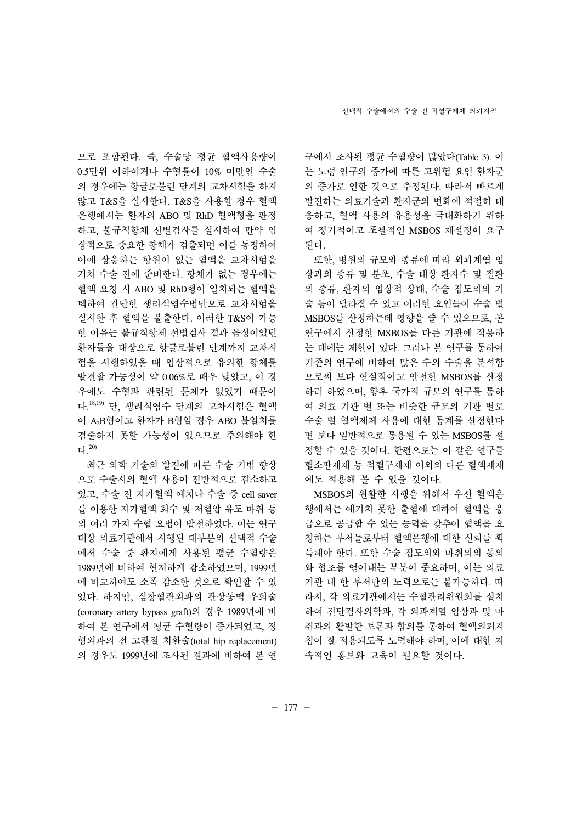으로 포함된다. 즉, 수술당 평균 혈액사용량이 0.5단위 이하이거나 수혈률이 10% 미만인 수술 의 경우에는 항글로불린 단계의 교차시험을 하지 않고 T&S을 실시한다. T&S을 사용할 경우 혈액 은행에서는 환자의 ABO 및 RhD 혈액형을 판정 하고, 불규칙항체 선별검사를 실시하여 만약 임 상적으로 중요한 항체가 검출되면 이를 동정하여 이에 상응하는 항원이 없는 혈액을 교차시험을 거쳐 수술 전에 준비한다. 항체가 없는 경우에는 혈액 요청 시 ABO 및 RhD형이 일치되는 혈액을 택하여 간단한 생리식염수법만으로 교차시험을 실시한 후 혈액을 불출한다. 이러한 T&S이 가능 한 이유는 불규칙항체 선별검사 결과 음성이었던 환자들을 대상으로 항글로불린 단계까지 교차시 험을 시행하였을 때 임상적으로 유의한 항체를 발견할 가능성이 약 0.06%로 매우 낮았고, 이 경 우에도 수혈과 관련된 문제가 없었기 때문이 다.<sup>18,19)</sup> 단, 생리식염수 단계의 교차시험은 혈액 이 A2B형이고 환자가 B형일 경우 ABO 불일치를 검출하지 못할 가능성이 있으므로 주의해야 한 다. 20)

 최근 의학 기술의 발전에 따른 수술 기법 향상 으로 수술시의 혈액 사용이 전반적으로 감소하고 있고, 수술 전 자가혈액 예치나 수술 중 cell saver 를 이용한 자가혈액 회수 및 저혈압 유도 마취 등 의 여러 가지 수혈 요법이 발전하였다. 이는 연구 대상 의료기관에서 시행된 대부분의 선택적 수술 에서 수술 중 환자에게 사용된 평균 수혈량은 1989년에 비하여 현저하게 감소하였으며, 1999년 에 비교하여도 소폭 감소한 것으로 확인할 수 있 었다. 하지만, 심장혈관외과의 관상동맥 우회술 (coronary artery bypass graft)의 경우 1989년에 비 하여 본 연구에서 평균 수혈량이 증가되었고, 정 형외과의 전 고관절 치환술(total hip replacement) 의 경우도 1999년에 조사된 결과에 비하여 본 연 구에서 조사된 평균 수혈량이 많았다(Table 3). 이 는 노령 인구의 증가에 따른 고위험 요인 환자군 의 증가로 인한 것으로 추정된다. 따라서 빠르게 발전하는 의료기술과 환자군의 변화에 적절히 대 응하고, 혈액 사용의 유용성을 극대화하기 위하 여 정기적이고 포괄적인 MSBOS 재설정이 요구 된다.

 또한, 병원의 규모와 종류에 따라 외과계열 임 상과의 종류 및 분포, 수술 대상 환자수 및 질환 의 종류, 환자의 임상적 상태, 수술 집도의의 기 술 등이 달라질 수 있고 이러한 요인들이 수술 별 MSBOS를 산정하는데 영향을 줄 수 있으므로, 본 연구에서 산정한 MSBOS를 다른 기관에 적용하 는 데에는 제한이 있다. 그러나 본 연구를 통하여 기존의 연구에 비하여 많은 수의 수술을 분석함 으로써 보다 현실적이고 안전한 MSBOS를 산정 하려 하였으며, 향후 국가적 규모의 연구를 통하 여 의료 기관 별 또는 비슷한 규모의 기관 별로 수술 별 혈액제제 사용에 대한 통계를 산정한다 면 보다 일반적으로 통용될 수 있는 MSBOS를 설 정할 수 있을 것이다. 한편으로는 이 같은 연구를 혈소판제제 등 적혈구제제 이외의 다른 혈액제제 에도 적용해 볼 수 있을 것이다.

 MSBOS의 원활한 시행을 위해서 우선 혈액은 행에서는 예기치 못한 출혈에 대하여 혈액을 응 급으로 공급할 수 있는 능력을 갖추어 혈액을 요 청하는 부서들로부터 혈액은행에 대한 신뢰를 획 득해야 한다. 또한 수술 집도의와 마취의의 동의 와 협조를 얻어내는 부분이 중요하며, 이는 의료 기관 내 한 부서만의 노력으로는 불가능하다. 따 라서, 각 의료기관에서는 수혈관리위원회를 설치 하여 진단검사의학과, 각 외과계열 임상과 및 마 취과의 활발한 토론과 합의를 통하여 혈액의뢰지 침이 잘 적용되도록 노력해야 하며, 이에 대한 지 속적인 홍보와 교육이 필요할 것이다.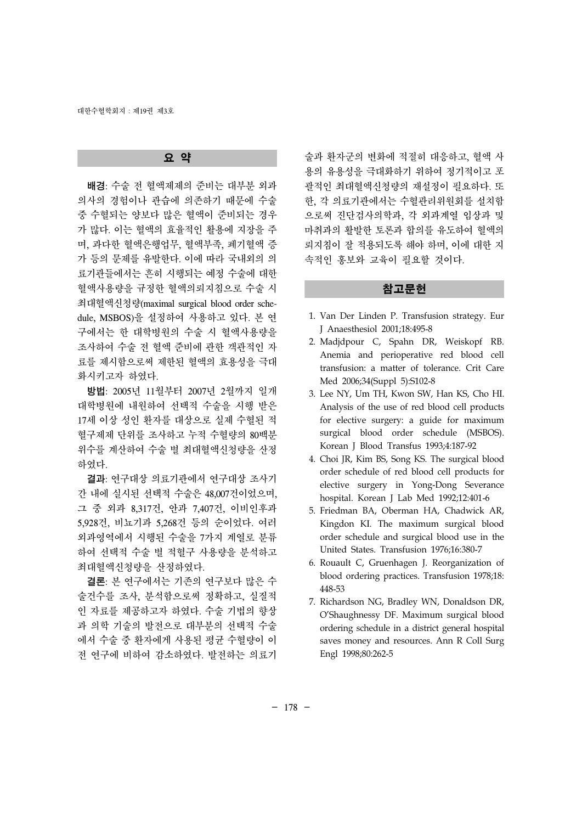### 요 약

 배경: 수술 전 혈액제제의 준비는 대부분 외과 의사의 경험이나 관습에 의존하기 때문에 수술 중 수혈되는 양보다 많은 혈액이 준비되는 경우 가 많다. 이는 혈액의 효율적인 활용에 지장을 주 며, 과다한 혈액은행업무, 혈액부족, 폐기혈액 증 가 등의 문제를 유발한다. 이에 따라 국내외의 의 료기관들에서는 흔히 시행되는 예정 수술에 대한 혈액사용량을 규정한 혈액의뢰지침으로 수술 시 최대혈액신청량(maximal surgical blood order schedule, MSBOS)을 설정하여 사용하고 있다. 본 연 구에서는 한 대학병원의 수술 시 혈액사용량을 조사하여 수술 전 혈액 준비에 관한 객관적인 자 료를 제시함으로써 제한된 혈액의 효용성을 극대 화시키고자 하였다.

 방법: 2005년 11월부터 2007년 2월까지 일개 대학병원에 내원하여 선택적 수술을 시행 받은 17세 이상 성인 환자를 대상으로 실제 수혈된 적 혈구제제 단위를 조사하고 누적 수혈량의 80백분 위수를 계산하여 수술 별 최대혈액신청량을 산정 하였다.

 결과: 연구대상 의료기관에서 연구대상 조사기 간 내에 실시된 선택적 수술은 48,007건이었으며, 그 중 외과 8,317건, 안과 7,407건, 이비인후과 5,928건, 비뇨기과 5,268건 등의 순이었다. 여러 외과영역에서 시행된 수술을 7가지 계열로 분류 하여 선택적 수술 별 적혈구 사용량을 분석하고 최대혈액신청량을 산정하였다.

 결론: 본 연구에서는 기존의 연구보다 많은 수 술건수를 조사, 분석함으로써 정확하고, 실질적 인 자료를 제공하고자 하였다. 수술 기법의 향상 과 의학 기술의 발전으로 대부분의 선택적 수술 에서 수술 중 환자에게 사용된 평균 수혈량이 이 전 연구에 비하여 감소하였다. 발전하는 의료기

술과 환자군의 변화에 적절히 대응하고, 혈액 사 용의 유용성을 극대화하기 위하여 정기적이고 포 괄적인 최대혈액신청량의 재설정이 필요하다. 또 한, 각 의료기관에서는 수혈관리위원회를 설치함 으로써 진단검사의학과, 각 외과계열 임상과 및 마취과의 활발한 토론과 합의를 유도하여 혈액의 뢰지침이 잘 적용되도록 해야 하며, 이에 대한 지 속적인 홍보와 교육이 필요할 것이다.

## 참고문헌

- 1. Van Der Linden P. Transfusion strategy. Eur J Anaesthesiol 2001;18:495-8
- 2. Madjdpour C, Spahn DR, Weiskopf RB. Anemia and perioperative red blood cell transfusion: a matter of tolerance. Crit Care Med 2006;34(Suppl 5):S102-8
- 3. Lee NY, Um TH, Kwon SW, Han KS, Cho HI. Analysis of the use of red blood cell products for elective surgery: a guide for maximum surgical blood order schedule (MSBOS). Korean J Blood Transfus 1993;4:187-92
- 4. Choi JR, Kim BS, Song KS. The surgical blood order schedule of red blood cell products for elective surgery in Yong-Dong Severance hospital. Korean J Lab Med 1992;12:401-6
- 5. Friedman BA, Oberman HA, Chadwick AR, Kingdon KI. The maximum surgical blood order schedule and surgical blood use in the United States. Transfusion 1976;16:380-7
- 6. Rouault C, Gruenhagen J. Reorganization of blood ordering practices. Transfusion 1978;18: 448-53
- 7. Richardson NG, Bradley WN, Donaldson DR, O'Shaughnessy DF. Maximum surgical blood ordering schedule in a district general hospital saves money and resources. Ann R Coll Surg Engl 1998;80:262-5